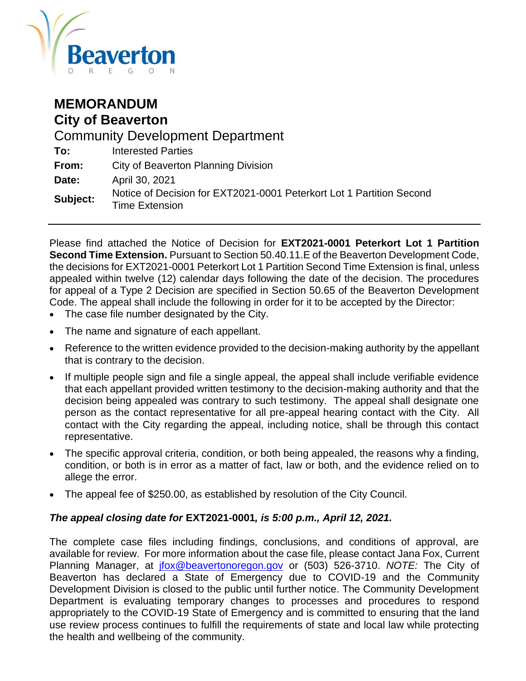

### **MEMORANDUM City of Beaverton**

Community Development Department **To:** Interested Parties **From:** City of Beaverton Planning Division **Date:** April 30, 2021 **Subject:** Notice of Decision for EXT2021-0001 Peterkort Lot 1 Partition Second Time Extension

Please find attached the Notice of Decision for **EXT2021-0001 Peterkort Lot 1 Partition Second Time Extension.** Pursuant to Section 50.40.11.E of the Beaverton Development Code, the decisions for EXT2021-0001 Peterkort Lot 1 Partition Second Time Extension is final, unless appealed within twelve (12) calendar days following the date of the decision. The procedures for appeal of a Type 2 Decision are specified in Section 50.65 of the Beaverton Development Code. The appeal shall include the following in order for it to be accepted by the Director:

- The case file number designated by the City.
- The name and signature of each appellant.
- Reference to the written evidence provided to the decision-making authority by the appellant that is contrary to the decision.
- If multiple people sign and file a single appeal, the appeal shall include verifiable evidence that each appellant provided written testimony to the decision-making authority and that the decision being appealed was contrary to such testimony. The appeal shall designate one person as the contact representative for all pre-appeal hearing contact with the City. All contact with the City regarding the appeal, including notice, shall be through this contact representative.
- The specific approval criteria, condition, or both being appealed, the reasons why a finding, condition, or both is in error as a matter of fact, law or both, and the evidence relied on to allege the error.
- The appeal fee of \$250.00, as established by resolution of the City Council.

#### *The appeal closing date for* **EXT2021-0001***, is 5:00 p.m., April 12, 2021.*

The complete case files including findings, conclusions, and conditions of approval, are available for review. For more information about the case file, please contact Jana Fox, Current Planning Manager, at [jfox@beavertonoregon.gov](mailto:jfox@beavertonoregon.gov) or (503) 526-3710. *NOTE:* The City of Beaverton has declared a State of Emergency due to COVID-19 and the Community Development Division is closed to the public until further notice. The Community Development Department is evaluating temporary changes to processes and procedures to respond appropriately to the COVID-19 State of Emergency and is committed to ensuring that the land use review process continues to fulfill the requirements of state and local law while protecting the health and wellbeing of the community.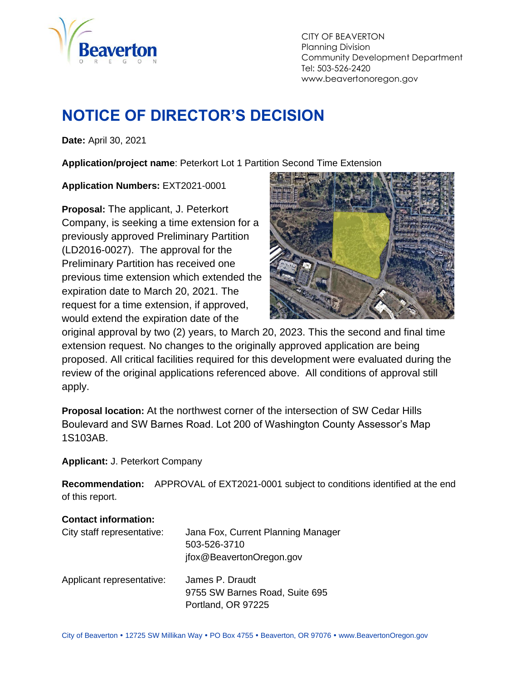

CITY OF BEAVERTON Planning Division Community Development Department Tel: 503-526-2420 www.beavertonoregon.gov

# <span id="page-1-0"></span>**NOTICE OF DIRECTOR'S DECISION**

**Date:** April 30, 2021

**Application/project name**: Peterkort Lot 1 Partition Second Time Extension

**Application Numbers:** EXT2021-0001

**Proposal:** The applicant, J. Peterkort Company, is seeking a time extension for a previously approved Preliminary Partition (LD2016-0027). The approval for the Preliminary Partition has received one previous time extension which extended the expiration date to March 20, 2021. The request for a time extension, if approved, would extend the expiration date of the



original approval by two (2) years, to March 20, 2023. This the second and final time extension request. No changes to the originally approved application are being proposed. All critical facilities required for this development were evaluated during the review of the original applications referenced above. All conditions of approval still apply.

**Proposal location:** At the northwest corner of the intersection of SW Cedar Hills Boulevard and SW Barnes Road. Lot 200 of Washington County Assessor's Map 1S103AB.

**Applicant:** J. Peterkort Company

**Recommendation:** APPROVAL of EXT2021-0001 subject to conditions identified at the end of this report.

#### **Contact information:**

| City staff representative: | Jana Fox, Current Planning Manager<br>503-526-3710<br>jfox@BeavertonOregon.gov |
|----------------------------|--------------------------------------------------------------------------------|
| Applicant representative:  | James P. Draudt<br>9755 SW Barnes Road, Suite 695<br>Portland, OR 97225        |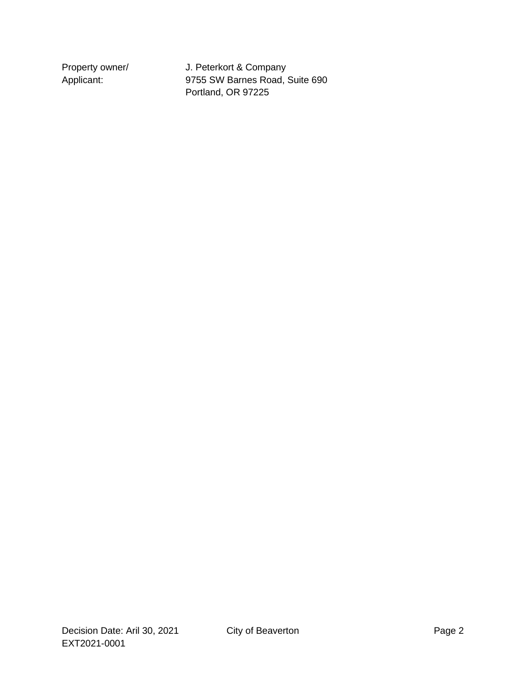Property owner/ J. Peterkort & Company Applicant: 9755 SW Barnes Road, Suite 690 Portland, OR 97225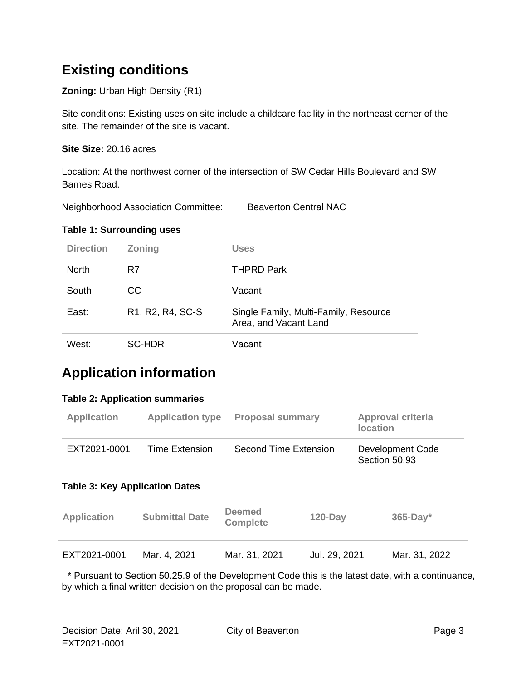## **Existing conditions**

**Zoning:** Urban High Density (R1)

Site conditions: Existing uses on site include a childcare facility in the northeast corner of the site. The remainder of the site is vacant.

**Site Size:** 20.16 acres

Location: At the northwest corner of the intersection of SW Cedar Hills Boulevard and SW Barnes Road.

Neighborhood Association Committee: Beaverton Central NAC

#### **Table 1: Surrounding uses**

| <b>Direction</b> | <b>Zoning</b>                                                        | Uses                                                           |
|------------------|----------------------------------------------------------------------|----------------------------------------------------------------|
| <b>North</b>     | R7                                                                   | <b>THPRD Park</b>                                              |
| South            | CC.                                                                  | Vacant                                                         |
| East:            | R <sub>1</sub> , R <sub>2</sub> , R <sub>4</sub> , S <sub>C</sub> -S | Single Family, Multi-Family, Resource<br>Area, and Vacant Land |
| West:            | <b>SC-HDR</b>                                                        | Vacant                                                         |

## **Application information**

#### **Table 2: Application summaries**

| <b>Application</b>                    | <b>Application type</b> | <b>Proposal summary</b>          |               | <b>Approval criteria</b><br><b>location</b> |               |  |
|---------------------------------------|-------------------------|----------------------------------|---------------|---------------------------------------------|---------------|--|
| EXT2021-0001                          | Time Extension          | Second Time Extension            |               | Development Code<br>Section 50.93           |               |  |
| <b>Table 3: Key Application Dates</b> |                         |                                  |               |                                             |               |  |
| <b>Application</b>                    | <b>Submittal Date</b>   | <b>Deemed</b><br><b>Complete</b> | $120$ -Day    |                                             | $365$ -Day*   |  |
| EXT2021-0001                          | Mar. 4, 2021            | Mar. 31, 2021                    | Jul. 29, 2021 |                                             | Mar. 31, 2022 |  |

 \* Pursuant to Section 50.25.9 of the Development Code this is the latest date, with a continuance, by which a final written decision on the proposal can be made.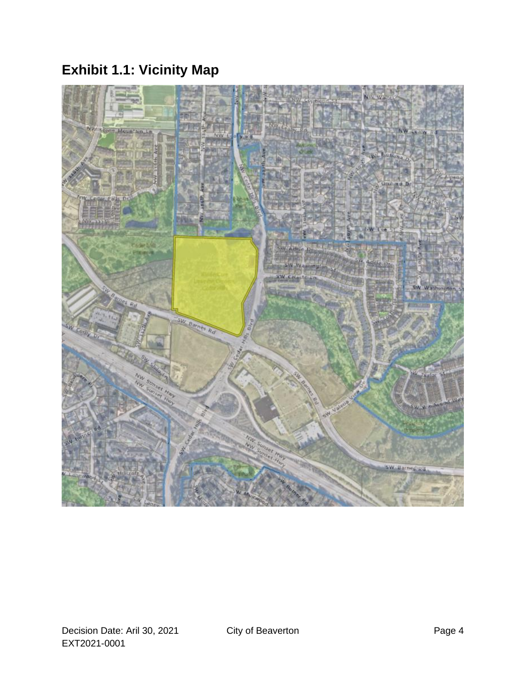# **Exhibit 1.1: Vicinity Map**

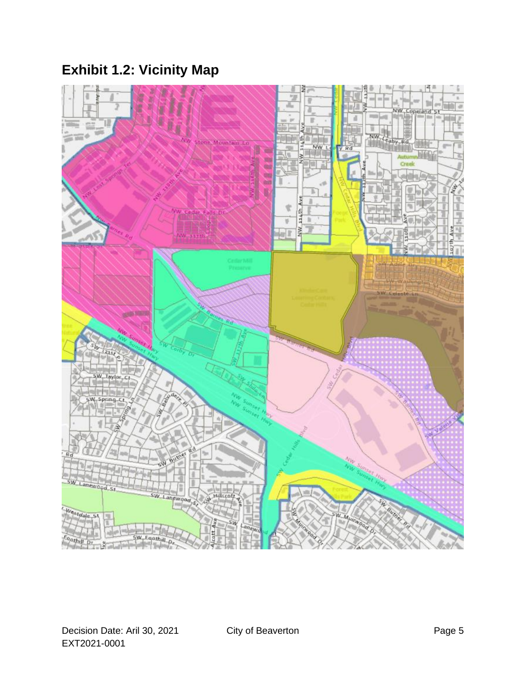# **Exhibit 1.2: Vicinity Map**

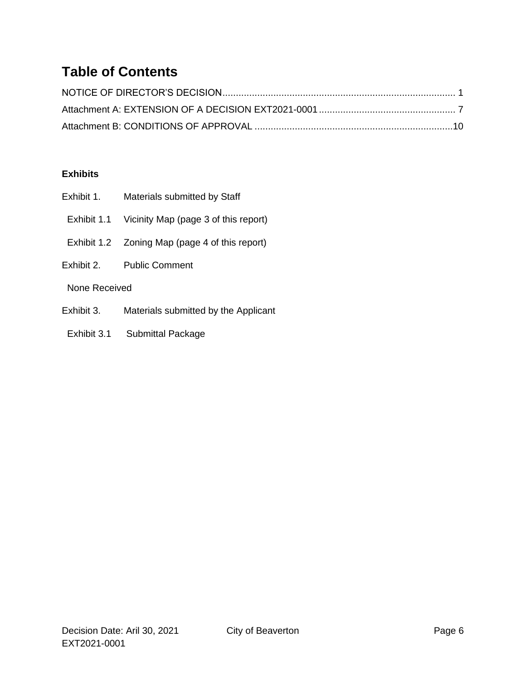# **Table of Contents**

#### **Exhibits**

- Exhibit 1. Materials submitted by Staff
- Exhibit 1.1 Vicinity Map (page 3 of this report)
- Exhibit 1.2 Zoning Map (page 4 of this report)
- Exhibit 2. Public Comment

#### None Received

- Exhibit 3. Materials submitted by the Applicant
- Exhibit 3.1 Submittal Package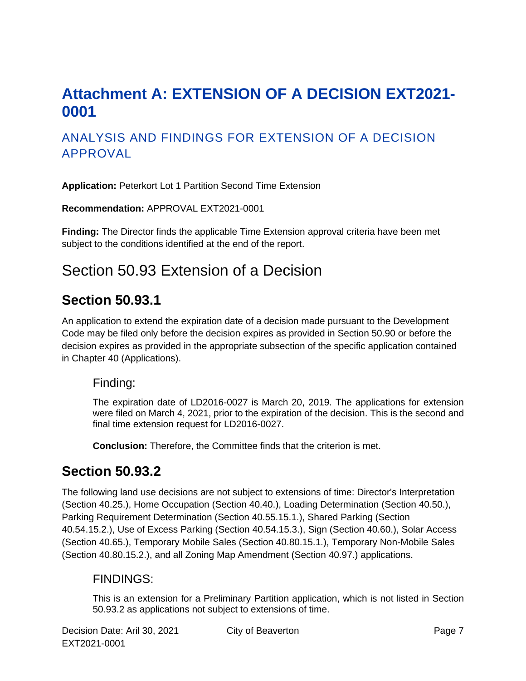# <span id="page-7-0"></span>**Attachment A: EXTENSION OF A DECISION EXT2021- 0001**

### ANALYSIS AND FINDINGS FOR EXTENSION OF A DECISION APPROVAL

**Application:** Peterkort Lot 1 Partition Second Time Extension

**Recommendation:** APPROVAL EXT2021-0001

**Finding:** The Director finds the applicable Time Extension approval criteria have been met subject to the conditions identified at the end of the report.

## Section 50.93 Extension of a Decision

### **Section 50.93.1**

An application to extend the expiration date of a decision made pursuant to the Development Code may be filed only before the decision expires as provided in Section 50.90 or before the decision expires as provided in the appropriate subsection of the specific application contained in Chapter 40 (Applications).

#### Finding:

The expiration date of LD2016-0027 is March 20, 2019. The applications for extension were filed on March 4, 2021, prior to the expiration of the decision. This is the second and final time extension request for LD2016-0027.

**Conclusion:** Therefore, the Committee finds that the criterion is met.

### **Section 50.93.2**

The following land use decisions are not subject to extensions of time: Director's Interpretation (Section 40.25.), Home Occupation (Section 40.40.), Loading Determination (Section 40.50.), Parking Requirement Determination (Section 40.55.15.1.), Shared Parking (Section 40.54.15.2.), Use of Excess Parking (Section 40.54.15.3.), Sign (Section 40.60.), Solar Access (Section 40.65.), Temporary Mobile Sales (Section 40.80.15.1.), Temporary Non-Mobile Sales (Section 40.80.15.2.), and all Zoning Map Amendment (Section 40.97.) applications.

### FINDINGS:

This is an extension for a Preliminary Partition application, which is not listed in Section 50.93.2 as applications not subject to extensions of time.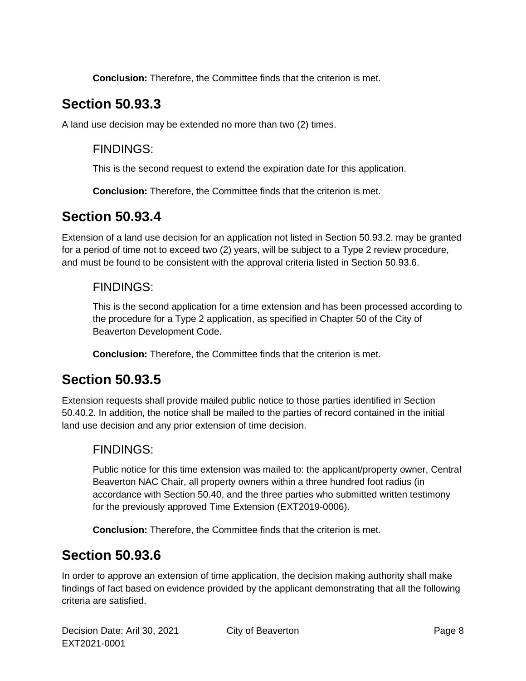**Conclusion:** Therefore, the Committee finds that the criterion is met.

## **Section 50.93.3**

A land use decision may be extended no more than two (2) times.

### FINDINGS:

This is the second request to extend the expiration date for this application.

**Conclusion:** Therefore, the Committee finds that the criterion is met.

### **Section 50.93.4**

Extension of a land use decision for an application not listed in Section 50.93.2. may be granted for a period of time not to exceed two (2) years, will be subject to a Type 2 review procedure, and must be found to be consistent with the approval criteria listed in Section 50.93.6.

### FINDINGS:

This is the second application for a time extension and has been processed according to the procedure for a Type 2 application, as specified in Chapter 50 of the City of Beaverton Development Code.

**Conclusion:** Therefore, the Committee finds that the criterion is met.

## **Section 50.93.5**

Extension requests shall provide mailed public notice to those parties identified in Section 50.40.2. In addition, the notice shall be mailed to the parties of record contained in the initial land use decision and any prior extension of time decision.

### FINDINGS:

Public notice for this time extension was mailed to: the applicant/property owner, Central Beaverton NAC Chair, all property owners within a three hundred foot radius (in accordance with Section 50.40, and the three parties who submitted written testimony for the previously approved Time Extension (EXT2019-0006).

**Conclusion:** Therefore, the Committee finds that the criterion is met.

### **Section 50.93.6**

In order to approve an extension of time application, the decision making authority shall make findings of fact based on evidence provided by the applicant demonstrating that all the following criteria are satisfied.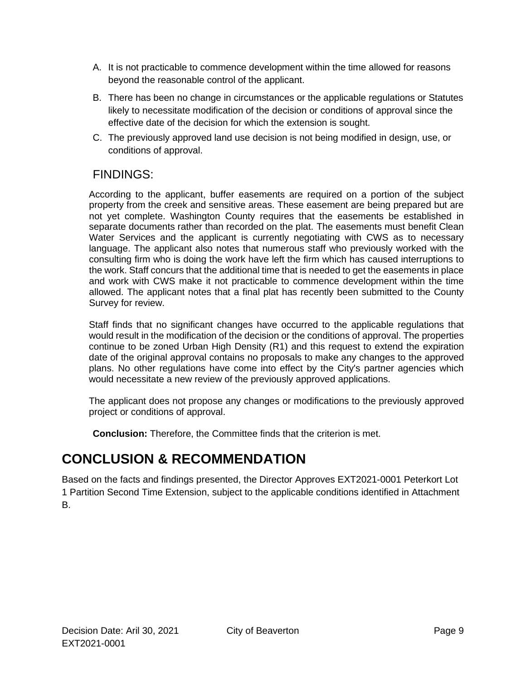- A. It is not practicable to commence development within the time allowed for reasons beyond the reasonable control of the applicant.
- B. There has been no change in circumstances or the applicable regulations or Statutes likely to necessitate modification of the decision or conditions of approval since the effective date of the decision for which the extension is sought.
- C. The previously approved land use decision is not being modified in design, use, or conditions of approval.

### FINDINGS:

According to the applicant, buffer easements are required on a portion of the subject property from the creek and sensitive areas. These easement are being prepared but are not yet complete. Washington County requires that the easements be established in separate documents rather than recorded on the plat. The easements must benefit Clean Water Services and the applicant is currently negotiating with CWS as to necessary language. The applicant also notes that numerous staff who previously worked with the consulting firm who is doing the work have left the firm which has caused interruptions to the work. Staff concurs that the additional time that is needed to get the easements in place and work with CWS make it not practicable to commence development within the time allowed. The applicant notes that a final plat has recently been submitted to the County Survey for review.

Staff finds that no significant changes have occurred to the applicable regulations that would result in the modification of the decision or the conditions of approval. The properties continue to be zoned Urban High Density (R1) and this request to extend the expiration date of the original approval contains no proposals to make any changes to the approved plans. No other regulations have come into effect by the City's partner agencies which would necessitate a new review of the previously approved applications.

The applicant does not propose any changes or modifications to the previously approved project or conditions of approval.

**Conclusion:** Therefore, the Committee finds that the criterion is met.

## **CONCLUSION & RECOMMENDATION**

Based on the facts and findings presented, the Director Approves EXT2021-0001 Peterkort Lot 1 Partition Second Time Extension, subject to the applicable conditions identified in Attachment B.